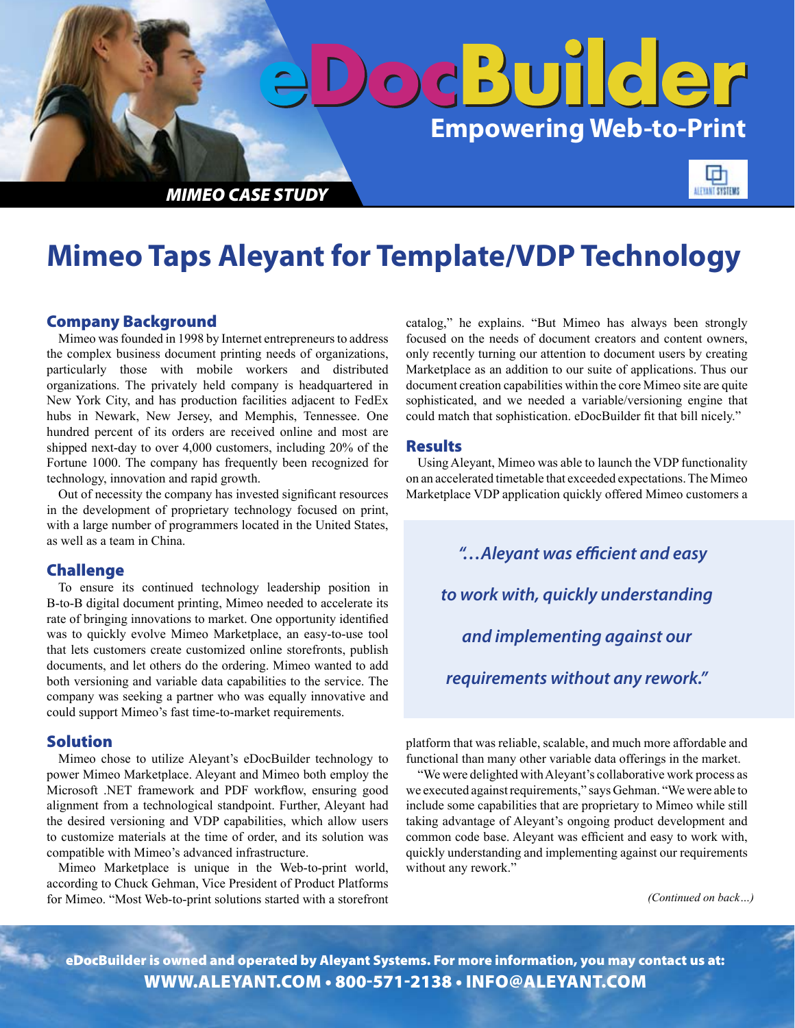

# **Mimeo Taps Aleyant for Template/VDP Technology**

## Company Background

Mimeo was founded in 1998 by Internet entrepreneurs to address the complex business document printing needs of organizations, particularly those with mobile workers and distributed organizations. The privately held company is headquartered in New York City, and has production facilities adjacent to FedEx hubs in Newark, New Jersey, and Memphis, Tennessee. One hundred percent of its orders are received online and most are shipped next-day to over 4,000 customers, including 20% of the Fortune 1000. The company has frequently been recognized for technology, innovation and rapid growth.

Out of necessity the company has invested significant resources in the development of proprietary technology focused on print, with a large number of programmers located in the United States, as well as a team in China.

### Challenge

To ensure its continued technology leadership position in B-to-B digital document printing, Mimeo needed to accelerate its rate of bringing innovations to market. One opportunity identified was to quickly evolve Mimeo Marketplace, an easy-to-use tool that lets customers create customized online storefronts, publish documents, and let others do the ordering. Mimeo wanted to add both versioning and variable data capabilities to the service. The company was seeking a partner who was equally innovative and could support Mimeo's fast time-to-market requirements.

#### Solution

Mimeo chose to utilize Aleyant's eDocBuilder technology to power Mimeo Marketplace. Aleyant and Mimeo both employ the Microsoft .NET framework and PDF workflow, ensuring good alignment from a technological standpoint. Further, Aleyant had the desired versioning and VDP capabilities, which allow users to customize materials at the time of order, and its solution was compatible with Mimeo's advanced infrastructure.

Mimeo Marketplace is unique in the Web-to-print world, according to Chuck Gehman, Vice President of Product Platforms for Mimeo. "Most Web-to-print solutions started with a storefront catalog," he explains. "But Mimeo has always been strongly focused on the needs of document creators and content owners, only recently turning our attention to document users by creating Marketplace as an addition to our suite of applications. Thus our document creation capabilities within the core Mimeo site are quite sophisticated, and we needed a variable/versioning engine that could match that sophistication. eDocBuilder fit that bill nicely."

#### **Results**

Using Aleyant, Mimeo was able to launch the VDP functionality on an accelerated timetable that exceeded expectations. The Mimeo Marketplace VDP application quickly offered Mimeo customers a

> *"…Aleyant was efficient and easy to work with, quickly understanding and implementing against our requirements without any rework."*

platform that was reliable, scalable, and much more affordable and functional than many other variable data offerings in the market.

"We were delighted with Aleyant's collaborative work process as we executed against requirements," says Gehman. "We were able to include some capabilities that are proprietary to Mimeo while still taking advantage of Aleyant's ongoing product development and common code base. Aleyant was efficient and easy to work with, quickly understanding and implementing against our requirements without any rework."

*(Continued on back…)*

eDocBuilder is owned and operated by Aleyant Systems. For more information, you may contact us at: www.ALEYANT.com • 800-571-2138 • INFO@ALEYANT.com